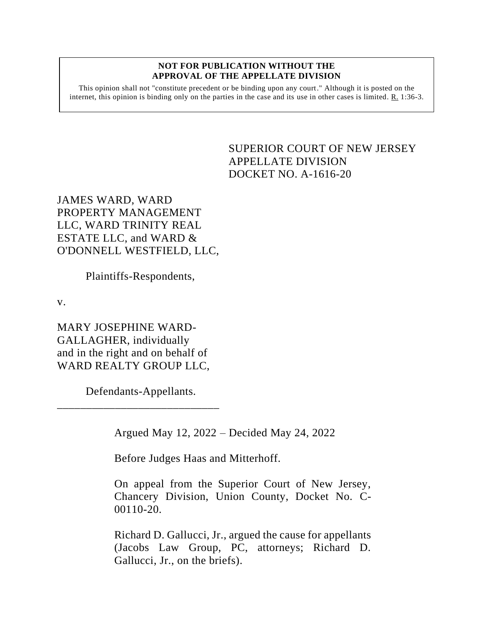## **NOT FOR PUBLICATION WITHOUT THE APPROVAL OF THE APPELLATE DIVISION**

This opinion shall not "constitute precedent or be binding upon any court." Although it is posted on the internet, this opinion is binding only on the parties in the case and its use in other cases is limited.  $R_1$  1:36-3.

## <span id="page-0-0"></span>SUPERIOR COURT OF NEW JERSEY APPELLATE DIVISION DOCKET NO. A-1616-20

JAMES WARD, WARD PROPERTY MANAGEMENT LLC, WARD TRINITY REAL ESTATE LLC, and WARD & O'DONNELL WESTFIELD, LLC,

Plaintiffs-Respondents,

v.

MARY JOSEPHINE WARD-GALLAGHER, individually and in the right and on behalf of WARD REALTY GROUP LLC,

Defendants-Appellants.

\_\_\_\_\_\_\_\_\_\_\_\_\_\_\_\_\_\_\_\_\_\_\_\_\_\_\_\_

Argued May 12, 2022 – Decided May 24, 2022

Before Judges Haas and Mitterhoff.

On appeal from the Superior Court of New Jersey, Chancery Division, Union County, Docket No. C-00110-20.

Richard D. Gallucci, Jr., argued the cause for appellants (Jacobs Law Group, PC, attorneys; Richard D. Gallucci, Jr., on the briefs).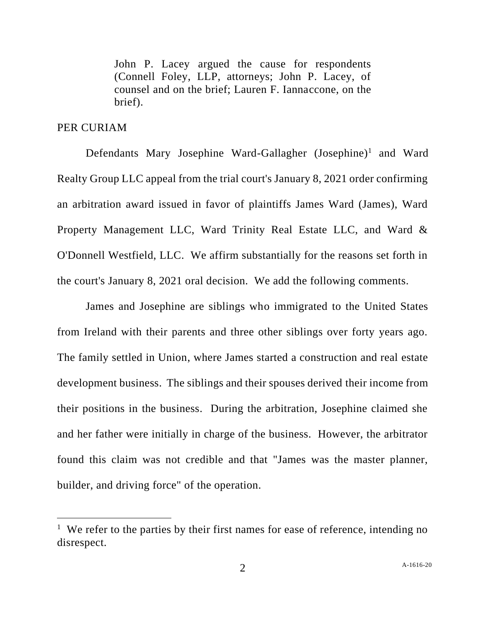John P. Lacey argued the cause for respondents (Connell Foley, LLP, attorneys; John P. Lacey, of counsel and on the brief; Lauren F. Iannaccone, on the brief).

## PER CURIAM

Defendants Mary Josephine Ward-Gallagher (Josephine)<sup>1</sup> and Ward Realty Group LLC appeal from the trial court's January 8, 2021 order confirming an arbitration award issued in favor of plaintiffs James Ward (James), Ward Property Management LLC, Ward Trinity Real Estate LLC, and Ward & O'Donnell Westfield, LLC. We affirm substantially for the reasons set forth in the court's January 8, 2021 oral decision. We add the following comments.

James and Josephine are siblings who immigrated to the United States from Ireland with their parents and three other siblings over forty years ago. The family settled in Union, where James started a construction and real estate development business. The siblings and their spouses derived their income from their positions in the business. During the arbitration, Josephine claimed she and her father were initially in charge of the business. However, the arbitrator found this claim was not credible and that "James was the master planner, builder, and driving force" of the operation.

<sup>&</sup>lt;sup>1</sup> We refer to the parties by their first names for ease of reference, intending no disrespect.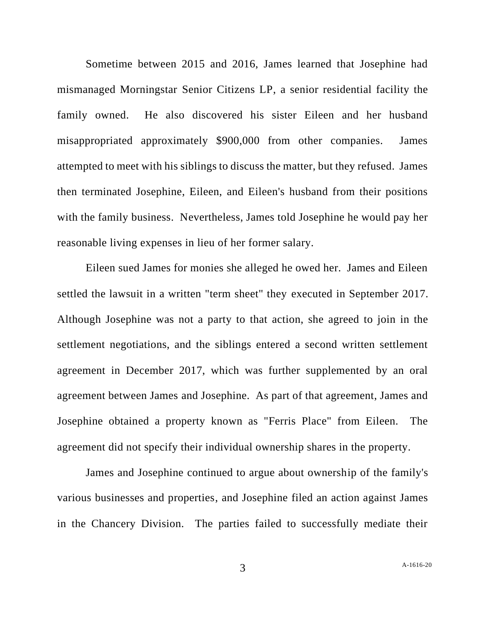Sometime between 2015 and 2016, James learned that Josephine had mismanaged Morningstar Senior Citizens LP, a senior residential facility the family owned. He also discovered his sister Eileen and her husband misappropriated approximately \$900,000 from other companies. James attempted to meet with his siblings to discuss the matter, but they refused. James then terminated Josephine, Eileen, and Eileen's husband from their positions with the family business. Nevertheless, James told Josephine he would pay her reasonable living expenses in lieu of her former salary.

Eileen sued James for monies she alleged he owed her. James and Eileen settled the lawsuit in a written "term sheet" they executed in September 2017. Although Josephine was not a party to that action, she agreed to join in the settlement negotiations, and the siblings entered a second written settlement agreement in December 2017, which was further supplemented by an oral agreement between James and Josephine. As part of that agreement, James and Josephine obtained a property known as "Ferris Place" from Eileen. The agreement did not specify their individual ownership shares in the property.

James and Josephine continued to argue about ownership of the family's various businesses and properties, and Josephine filed an action against James in the Chancery Division. The parties failed to successfully mediate their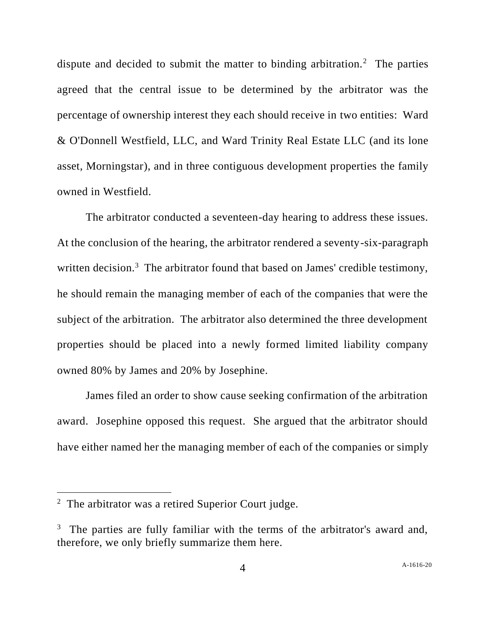dispute and decided to submit the matter to binding arbitration.<sup>2</sup> The parties agreed that the central issue to be determined by the arbitrator was the percentage of ownership interest they each should receive in two entities: Ward & O'Donnell Westfield, LLC, and Ward Trinity Real Estate LLC (and its lone asset, Morningstar), and in three contiguous development properties the family owned in Westfield.

The arbitrator conducted a seventeen-day hearing to address these issues. At the conclusion of the hearing, the arbitrator rendered a seventy-six-paragraph written decision.<sup>3</sup> The arbitrator found that based on James' credible testimony, he should remain the managing member of each of the companies that were the subject of the arbitration. The arbitrator also determined the three development properties should be placed into a newly formed limited liability company owned 80% by James and 20% by Josephine.

James filed an order to show cause seeking confirmation of the arbitration award. Josephine opposed this request. She argued that the arbitrator should have either named her the managing member of each of the companies or simply

 $2$  The arbitrator was a retired Superior Court judge.

<sup>&</sup>lt;sup>3</sup> The parties are fully familiar with the terms of the arbitrator's award and, therefore, we only briefly summarize them here.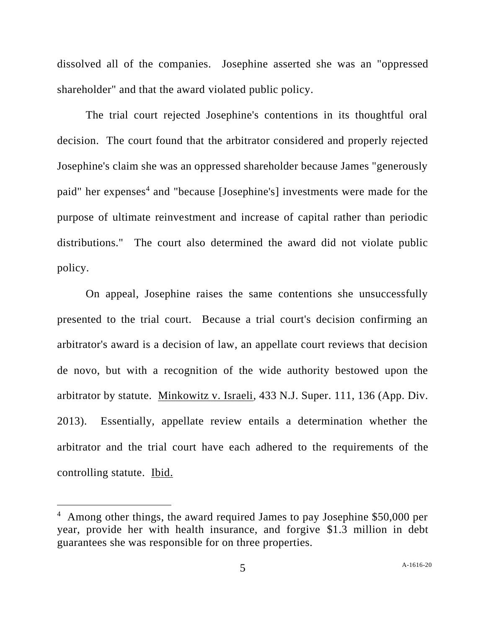dissolved all of the companies. Josephine asserted she was an "oppressed shareholder" and that the award violated public policy.

The trial court rejected Josephine's contentions in its thoughtful oral decision. The court found that the arbitrator considered and properly rejected Josephine's claim she was an oppressed shareholder because James "generously paid" her expenses<sup>4</sup> and "because [Josephine's] investments were made for the purpose of ultimate reinvestment and increase of capital rather than periodic distributions." The court also determined the award did not violate public policy.

On appeal, Josephine raises the same contentions she unsuccessfully presented to the trial court. Because a trial court's decision confirming an arbitrator's award is a decision of law, an appellate court reviews that decision de novo, but with a recognition of the wide authority bestowed upon the arbitrator by statute. Minkowitz v. Israeli, 433 N.J. Super. 111, 136 (App. Div. 2013). Essentially, appellate review entails a determination whether the arbitrator and the trial court have each adhered to the requirements of the controlling statute. Ibid.

<sup>&</sup>lt;sup>4</sup> Among other things, the award required James to pay Josephine \$50,000 per year, provide her with health insurance, and forgive \$1.3 million in debt guarantees she was responsible for on three properties.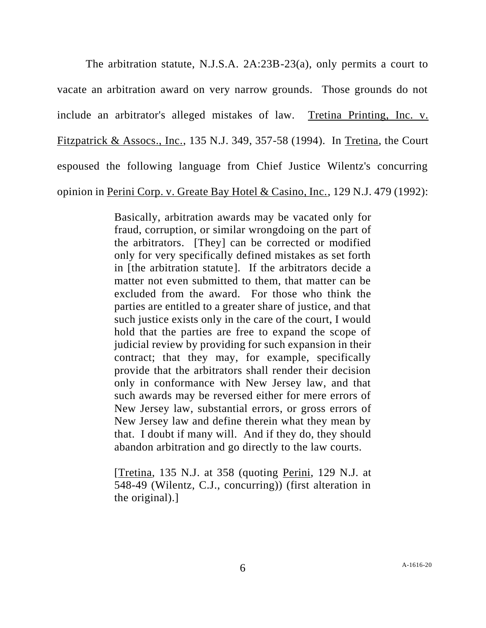The arbitration statute, N.J.S.A. 2A:23B-23(a), only permits a court to vacate an arbitration award on very narrow grounds. Those grounds do not include an arbitrator's alleged mistakes of law. Tretina Printing, Inc. v. Fitzpatrick & Assocs., Inc., 135 N.J. 349, 357-58 (1994). In Tretina, the Court espoused the following language from Chief Justice Wilentz's concurring opinion in Perini Corp. v. Greate Bay Hotel & Casino, Inc., 129 N.J. 479 (1992):

> Basically, arbitration awards may be vacated only for fraud, corruption, or similar wrongdoing on the part of the arbitrators. [They] can be corrected or modified only for very specifically defined mistakes as set forth in [the arbitration statute]. If the arbitrators decide a matter not even submitted to them, that matter can be excluded from the award. For those who think the parties are entitled to a greater share of justice, and that such justice exists only in the care of the court, I would hold that the parties are free to expand the scope of judicial review by providing for such expansion in their contract; that they may, for example, specifically provide that the arbitrators shall render their decision only in conformance with New Jersey law, and that such awards may be reversed either for mere errors of New Jersey law, substantial errors, or gross errors of New Jersey law and define therein what they mean by that. I doubt if many will. And if they do, they should abandon arbitration and go directly to the law courts.

> [Tretina, 135 N.J. at 358 (quoting Perini, 129 N.J. at 548-49 (Wilentz, C.J., concurring)) (first alteration in the original).]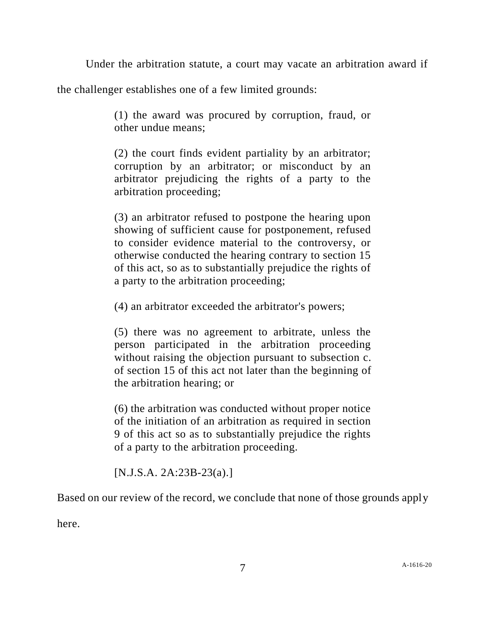Under the arbitration statute, a court may vacate an arbitration award if

the challenger establishes one of a few limited grounds:

(1) the award was procured by corruption, fraud, or other undue means;

(2) the court finds evident partiality by an arbitrator; corruption by an arbitrator; or misconduct by an arbitrator prejudicing the rights of a party to the arbitration proceeding;

(3) an arbitrator refused to postpone the hearing upon showing of sufficient cause for postponement, refused to consider evidence material to the controversy, or otherwise conducted the hearing contrary to section 15 of this act, so as to substantially prejudice the rights of a party to the arbitration proceeding;

(4) an arbitrator exceeded the arbitrator's powers;

(5) there was no agreement to arbitrate, unless the person participated in the arbitration proceeding without raising the objection pursuant to subsection c. of section 15 of this act not later than the beginning of the arbitration hearing; or

(6) the arbitration was conducted without proper notice of the initiation of an arbitration as required in section 9 of this act so as to substantially prejudice the rights of a party to the arbitration proceeding.

[N.J.S.A. 2A:23B-23(a).]

Based on our review of the record, we conclude that none of those grounds apply

here.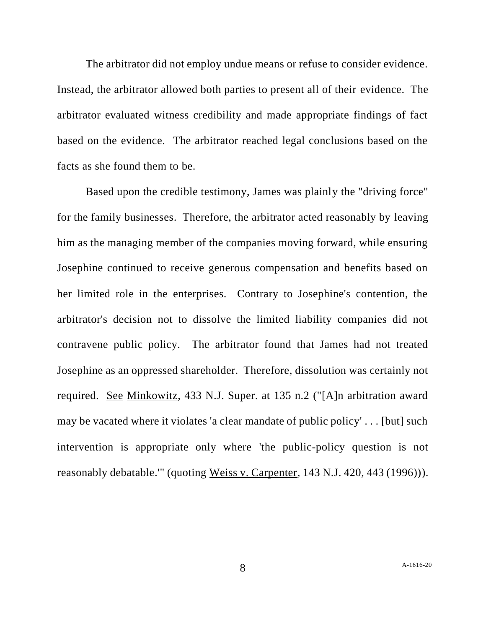The arbitrator did not employ undue means or refuse to consider evidence. Instead, the arbitrator allowed both parties to present all of their evidence. The arbitrator evaluated witness credibility and made appropriate findings of fact based on the evidence. The arbitrator reached legal conclusions based on the facts as she found them to be.

Based upon the credible testimony, James was plainly the "driving force" for the family businesses. Therefore, the arbitrator acted reasonably by leaving him as the managing member of the companies moving forward, while ensuring Josephine continued to receive generous compensation and benefits based on her limited role in the enterprises. Contrary to Josephine's contention, the arbitrator's decision not to dissolve the limited liability companies did not contravene public policy. The arbitrator found that James had not treated Josephine as an oppressed shareholder. Therefore, dissolution was certainly not required. See Minkowitz, 433 N.J. Super. at 135 n.2 ("[A]n arbitration award may be vacated where it violates 'a clear mandate of public policy' . . . [but] such intervention is appropriate only where 'the public-policy question is not reasonably debatable.'" (quoting Weiss v. Carpenter, 143 N.J. 420, 443 (1996))).